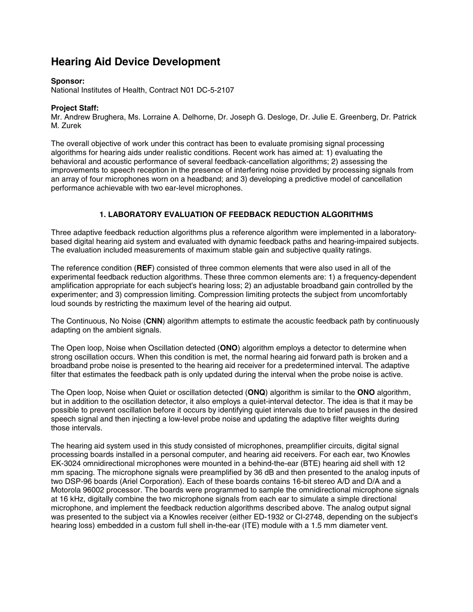# **Hearing Aid Device Development**

## **Sponsor:**

National Institutes of Health, Contract N01 DC-5-2107

## **Project Staff:**

Mr. Andrew Brughera, Ms. Lorraine A. Delhorne, Dr. Joseph G. Desloge, Dr. Julie E. Greenberg, Dr. Patrick M. Zurek

The overall objective of work under this contract has been to evaluate promising signal processing algorithms for hearing aids under realistic conditions. Recent work has aimed at: 1) evaluating the behavioral and acoustic performance of several feedback-cancellation algorithms; 2) assessing the improvements to speech reception in the presence of interfering noise provided by processing signals from an array of four microphones worn on a headband; and 3) developing a predictive model of cancellation performance achievable with two ear-level microphones.

# **1. LABORATORY EVALUATION OF FEEDBACK REDUCTION ALGORITHMS**

Three adaptive feedback reduction algorithms plus a reference algorithm were implemented in a laboratorybased digital hearing aid system and evaluated with dynamic feedback paths and hearing-impaired subjects. The evaluation included measurements of maximum stable gain and subjective quality ratings.

The reference condition (**REF**) consisted of three common elements that were also used in all of the experimental feedback reduction algorithms. These three common elements are: 1) a frequency-dependent amplification appropriate for each subject's hearing loss; 2) an adjustable broadband gain controlled by the experimenter; and 3) compression limiting. Compression limiting protects the subject from uncomfortably loud sounds by restricting the maximum level of the hearing aid output.

The Continuous, No Noise (**CNN**) algorithm attempts to estimate the acoustic feedback path by continuously adapting on the ambient signals.

The Open loop, Noise when Oscillation detected (**ONO**) algorithm employs a detector to determine when strong oscillation occurs. When this condition is met, the normal hearing aid forward path is broken and a broadband probe noise is presented to the hearing aid receiver for a predetermined interval. The adaptive filter that estimates the feedback path is only updated during the interval when the probe noise is active.

The Open loop, Noise when Quiet or oscillation detected (**ONQ**) algorithm is similar to the **ONO** algorithm, but in addition to the oscillation detector, it also employs a quiet-interval detector. The idea is that it may be possible to prevent oscillation before it occurs by identifying quiet intervals due to brief pauses in the desired speech signal and then injecting a low-level probe noise and updating the adaptive filter weights during those intervals.

The hearing aid system used in this study consisted of microphones, preamplifier circuits, digital signal processing boards installed in a personal computer, and hearing aid receivers. For each ear, two Knowles EK-3024 omnidirectional microphones were mounted in a behind-the-ear (BTE) hearing aid shell with 12 mm spacing. The microphone signals were preamplified by 36 dB and then presented to the analog inputs of two DSP-96 boards (Ariel Corporation). Each of these boards contains 16-bit stereo A/D and D/A and a Motorola 96002 processor. The boards were programmed to sample the omnidirectional microphone signals at 16 kHz, digitally combine the two microphone signals from each ear to simulate a simple directional microphone, and implement the feedback reduction algorithms described above. The analog output signal was presented to the subject via a Knowles receiver (either ED-1932 or CI-2748, depending on the subject's hearing loss) embedded in a custom full shell in-the-ear (ITE) module with a 1.5 mm diameter vent.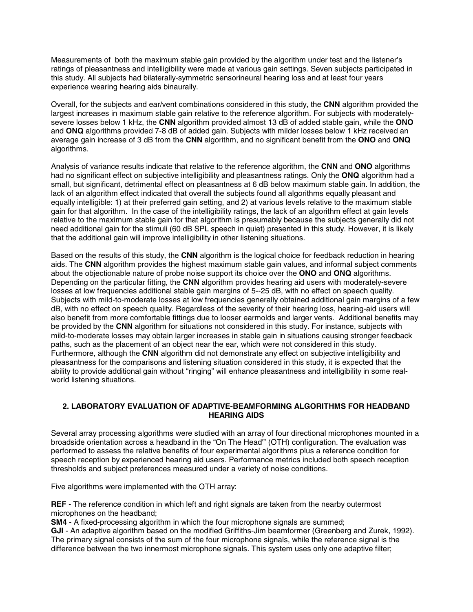Measurements of both the maximum stable gain provided by the algorithm under test and the listener's ratings of pleasantness and intelligibility were made at various gain settings. Seven subjects participated in this study. All subjects had bilaterally-symmetric sensorineural hearing loss and at least four years experience wearing hearing aids binaurally.

Overall, for the subjects and ear/vent combinations considered in this study, the **CNN** algorithm provided the largest increases in maximum stable gain relative to the reference algorithm. For subjects with moderatelysevere losses below 1 kHz, the **CNN** algorithm provided almost 13 dB of added stable gain, while the **ONO** and **ONQ** algorithms provided 7-8 dB of added gain. Subjects with milder losses below 1 kHz received an average gain increase of 3 dB from the **CNN** algorithm, and no significant benefit from the **ONO** and **ONQ** algorithms.

Analysis of variance results indicate that relative to the reference algorithm, the **CNN** and **ONO** algorithms had no significant effect on subjective intelligibility and pleasantness ratings. Only the **ONQ** algorithm had a small, but significant, detrimental effect on pleasantness at 6 dB below maximum stable gain. In addition, the lack of an algorithm effect indicated that overall the subjects found all algorithms equally pleasant and equally intelligible: 1) at their preferred gain setting, and 2) at various levels relative to the maximum stable gain for that algorithm. In the case of the intelligibility ratings, the lack of an algorithm effect at gain levels relative to the maximum stable gain for that algorithm is presumably because the subjects generally did not need additional gain for the stimuli (60 dB SPL speech in quiet) presented in this study. However, it is likely that the additional gain will improve intelligibility in other listening situations.

Based on the results of this study, the **CNN** algorithm is the logical choice for feedback reduction in hearing aids. The **CNN** algorithm provides the highest maximum stable gain values, and informal subject comments about the objectionable nature of probe noise support its choice over the **ONO** and **ONQ** algorithms. Depending on the particular fitting, the **CNN** algorithm provides hearing aid users with moderately-severe losses at low frequencies additional stable gain margins of 5--25 dB, with no effect on speech quality. Subjects with mild-to-moderate losses at low frequencies generally obtained additional gain margins of a few dB, with no effect on speech quality. Regardless of the severity of their hearing loss, hearing-aid users will also benefit from more comfortable fittings due to looser earmolds and larger vents. Additional benefits may be provided by the **CNN** algorithm for situations not considered in this study. For instance, subjects with mild-to-moderate losses may obtain larger increases in stable gain in situations causing stronger feedback paths, such as the placement of an object near the ear, which were not considered in this study. Furthermore, although the **CNN** algorithm did not demonstrate any effect on subjective intelligibility and pleasantness for the comparisons and listening situation considered in this study, it is expected that the ability to provide additional gain without "ringing" will enhance pleasantness and intelligibility in some realworld listening situations.

### **2. LABORATORY EVALUATION OF ADAPTIVE-BEAMFORMING ALGORITHMS FOR HEADBAND HEARING AIDS**

Several array processing algorithms were studied with an array of four directional microphones mounted in a broadside orientation across a headband in the "On The Head'" (OTH) configuration. The evaluation was performed to assess the relative benefits of four experimental algorithms plus a reference condition for speech reception by experienced hearing aid users. Performance metrics included both speech reception thresholds and subject preferences measured under a variety of noise conditions.

Five algorithms were implemented with the OTH array:

**REF** - The reference condition in which left and right signals are taken from the nearby outermost microphones on the headband;

**SM4** - A fixed-processing algorithm in which the four microphone signals are summed;

**GJI** - An adaptive algorithm based on the modified Griffiths-Jim beamformer (Greenberg and Zurek, 1992). The primary signal consists of the sum of the four microphone signals, while the reference signal is the difference between the two innermost microphone signals. This system uses only one adaptive filter;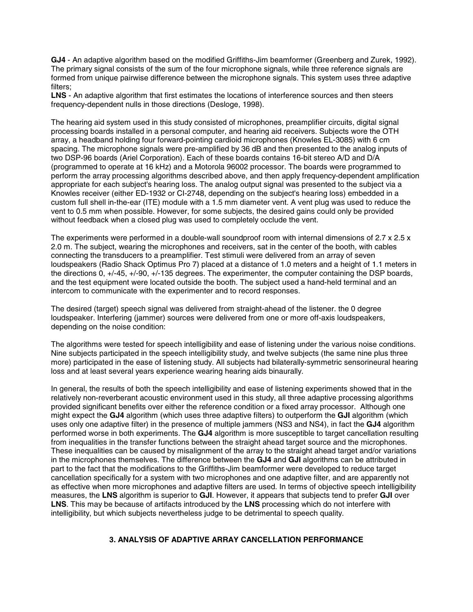**GJ4** - An adaptive algorithm based on the modified Griffiths-Jim beamformer (Greenberg and Zurek, 1992). The primary signal consists of the sum of the four microphone signals, while three reference signals are formed from unique pairwise difference between the microphone signals. This system uses three adaptive filters;

**LNS** - An adaptive algorithm that first estimates the locations of interference sources and then steers frequency-dependent nulls in those directions (Desloge, 1998).

The hearing aid system used in this study consisted of microphones, preamplifier circuits, digital signal processing boards installed in a personal computer, and hearing aid receivers. Subjects wore the OTH array, a headband holding four forward-pointing cardioid microphones (Knowles EL-3085) with 6 cm spacing. The microphone signals were pre-amplified by 36 dB and then presented to the analog inputs of two DSP-96 boards (Ariel Corporation). Each of these boards contains 16-bit stereo A/D and D/A (programmed to operate at 16 kHz) and a Motorola 96002 processor. The boards were programmed to perform the array processing algorithms described above, and then apply frequency-dependent amplification appropriate for each subject's hearing loss. The analog output signal was presented to the subject via a Knowles receiver (either ED-1932 or CI-2748, depending on the subject's hearing loss) embedded in a custom full shell in-the-ear (ITE) module with a 1.5 mm diameter vent. A vent plug was used to reduce the vent to 0.5 mm when possible. However, for some subjects, the desired gains could only be provided without feedback when a closed plug was used to completely occlude the vent.

The experiments were performed in a double-wall soundproof room with internal dimensions of  $2.7 \times 2.5 \times$ 2.0 m. The subject, wearing the microphones and receivers, sat in the center of the booth, with cables connecting the transducers to a preamplifier. Test stimuli were delivered from an array of seven loudspeakers (Radio Shack Optimus Pro 7) placed at a distance of 1.0 meters and a height of 1.1 meters in the directions 0, +/-45, +/-90, +/-135 degrees. The experimenter, the computer containing the DSP boards, and the test equipment were located outside the booth. The subject used a hand-held terminal and an intercom to communicate with the experimenter and to record responses.

The desired (target) speech signal was delivered from straight-ahead of the listener. the 0 degree loudspeaker. Interfering (jammer) sources were delivered from one or more off-axis loudspeakers, depending on the noise condition:

The algorithms were tested for speech intelligibility and ease of listening under the various noise conditions. Nine subjects participated in the speech intelligibility study, and twelve subjects (the same nine plus three more) participated in the ease of listening study. All subjects had bilaterally-symmetric sensorineural hearing loss and at least several years experience wearing hearing aids binaurally.

In general, the results of both the speech intelligibility and ease of listening experiments showed that in the relatively non-reverberant acoustic environment used in this study, all three adaptive processing algorithms provided significant benefits over either the reference condition or a fixed array processor. Although one might expect the **GJ4** algorithm (which uses three adaptive filters) to outperform the **GJI** algorithm (which uses only one adaptive filter) in the presence of multiple jammers (NS3 and NS4), in fact the **GJ4** algorithm performed worse in both experiments. The **GJ4** algorithm is more susceptible to target cancellation resulting from inequalities in the transfer functions between the straight ahead target source and the microphones. These inequalities can be caused by misalignment of the array to the straight ahead target and/or variations in the microphones themselves. The difference between the **GJ4** and **GJI** algorithms can be attributed in part to the fact that the modifications to the Griffiths-Jim beamformer were developed to reduce target cancellation specifically for a system with two microphones and one adaptive filter, and are apparently not as effective when more microphones and adaptive filters are used. In terms of objective speech intelligibility measures, the **LNS** algorithm is superior to **GJI**. However, it appears that subjects tend to prefer **GJI** over **LNS**. This may be because of artifacts introduced by the **LNS** processing which do not interfere with intelligibility, but which subjects nevertheless judge to be detrimental to speech quality.

## **3. ANALYSIS OF ADAPTIVE ARRAY CANCELLATION PERFORMANCE**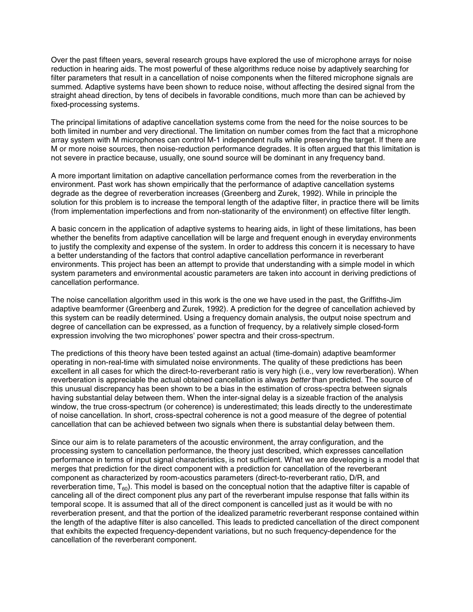Over the past fifteen years, several research groups have explored the use of microphone arrays for noise reduction in hearing aids. The most powerful of these algorithms reduce noise by adaptively searching for filter parameters that result in a cancellation of noise components when the filtered microphone signals are summed. Adaptive systems have been shown to reduce noise, without affecting the desired signal from the straight ahead direction, by tens of decibels in favorable conditions, much more than can be achieved by fixed-processing systems.

The principal limitations of adaptive cancellation systems come from the need for the noise sources to be both limited in number and very directional. The limitation on number comes from the fact that a microphone array system with M microphones can control M-1 independent nulls while preserving the target. If there are M or more noise sources, then noise-reduction performance degrades. It is often argued that this limitation is not severe in practice because, usually, one sound source will be dominant in any frequency band.

A more important limitation on adaptive cancellation performance comes from the reverberation in the environment. Past work has shown empirically that the performance of adaptive cancellation systems degrade as the degree of reverberation increases (Greenberg and Zurek, 1992). While in principle the solution for this problem is to increase the temporal length of the adaptive filter, in practice there will be limits (from implementation imperfections and from non-stationarity of the environment) on effective filter length.

A basic concern in the application of adaptive systems to hearing aids, in light of these limitations, has been whether the benefits from adaptive cancellation will be large and frequent enough in everyday environments to justify the complexity and expense of the system. In order to address this concern it is necessary to have a better understanding of the factors that control adaptive cancellation performance in reverberant environments. This project has been an attempt to provide that understanding with a simple model in which system parameters and environmental acoustic parameters are taken into account in deriving predictions of cancellation performance.

The noise cancellation algorithm used in this work is the one we have used in the past, the Griffiths-Jim adaptive beamformer (Greenberg and Zurek, 1992). A prediction for the degree of cancellation achieved by this system can be readily determined. Using a frequency domain analysis, the output noise spectrum and degree of cancellation can be expressed, as a function of frequency, by a relatively simple closed-form expression involving the two microphones' power spectra and their cross-spectrum.

The predictions of this theory have been tested against an actual (time-domain) adaptive beamformer operating in non-real-time with simulated noise environments. The quality of these predictions has been excellent in all cases for which the direct-to-reverberant ratio is very high (i.e., very low reverberation). When reverberation is appreciable the actual obtained cancellation is always *better* than predicted. The source of this unusual discrepancy has been shown to be a bias in the estimation of cross-spectra between signals having substantial delay between them. When the inter-signal delay is a sizeable fraction of the analysis window, the true cross-spectrum (or coherence) is underestimated; this leads directly to the underestimate of noise cancellation. In short, cross-spectral coherence is not a good measure of the degree of potential cancellation that can be achieved between two signals when there is substantial delay between them.

Since our aim is to relate parameters of the acoustic environment, the array configuration, and the processing system to cancellation performance, the theory just described, which expresses cancellation performance in terms of input signal characteristics, is not sufficient. What we are developing is a model that merges that prediction for the direct component with a prediction for cancellation of the reverberant component as characterized by room-acoustics parameters (direct-to-reverberant ratio, D/R, and reverberation time,  $T_{60}$ ). This model is based on the conceptual notion that the adaptive filter is capable of canceling all of the direct component plus any part of the reverberant impulse response that falls within its temporal scope. It is assumed that all of the direct component is cancelled just as it would be with no reverberation present, and that the portion of the idealized parametric reverberant response contained within the length of the adaptive filter is also cancelled. This leads to predicted cancellation of the direct component that exhibits the expected frequency-dependent variations, but no such frequency-dependence for the cancellation of the reverberant component.